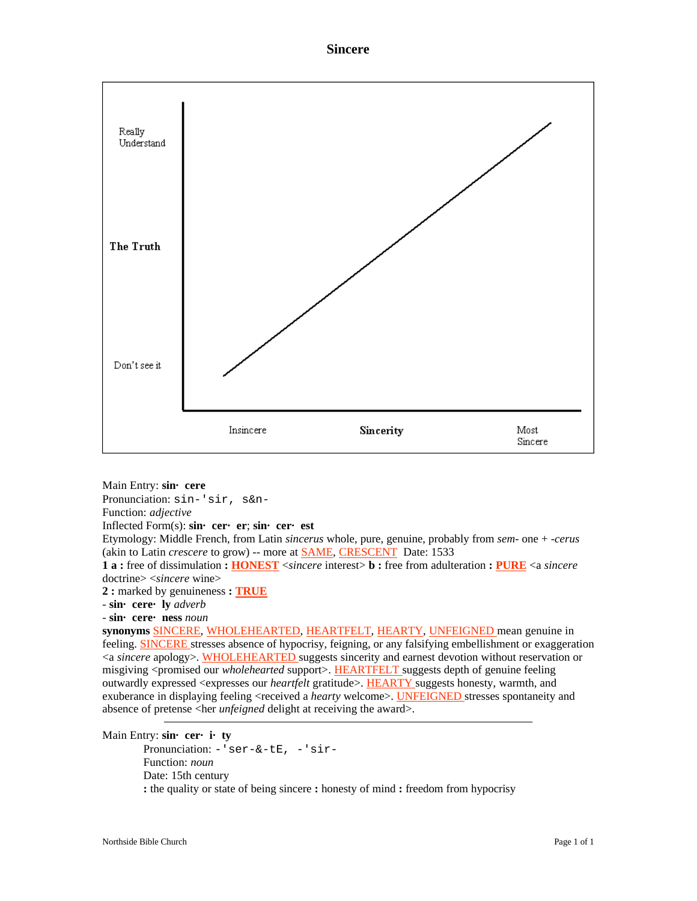



Main Entry: **sin· cere**

Pronunciation: sin-'sir, s&n-

Function: *adjective*

Inflected Form(s): **sin· cer· er**; **sin· cer· est**

Etymology: Middle French, from Latin *sincerus* whole, pure, genuine, probably from *sem-* one + *-cerus*  (akin to Latin *crescere* to grow) -- more at SAME, CRESCENT Date: 1533

**1 a :** free of dissimulation **: HONEST** <*sincere* interest> **b :** free from adulteration **: PURE** <a *sincere* doctrine> <*sincere* wine>

**2 :** marked by genuineness **: TRUE**

- **sin· cere· ly** *adverb*

- **sin· cere· ness** *noun*

**synonyms** SINCERE, WHOLEHEARTED, HEARTFELT, HEARTY, UNFEIGNED mean genuine in feeling. SINCERE stresses absence of hypocrisy, feigning, or any falsifying embellishment or exaggeration <a *sincere* apology>. WHOLEHEARTED suggests sincerity and earnest devotion without reservation or misgiving <promised our *wholehearted* support>. HEARTFELT suggests depth of genuine feeling outwardly expressed <expresses our *heartfelt* gratitude>. HEARTY suggests honesty, warmth, and exuberance in displaying feeling <received a *hearty* welcome>. UNFEIGNED stresses spontaneity and absence of pretense <her *unfeigned* delight at receiving the award>.

Main Entry: **sin· cer· i· ty**

Pronunciation: -'ser-&-tE, -'sir-Function: *noun* Date: 15th century **:** the quality or state of being sincere **:** honesty of mind **:** freedom from hypocrisy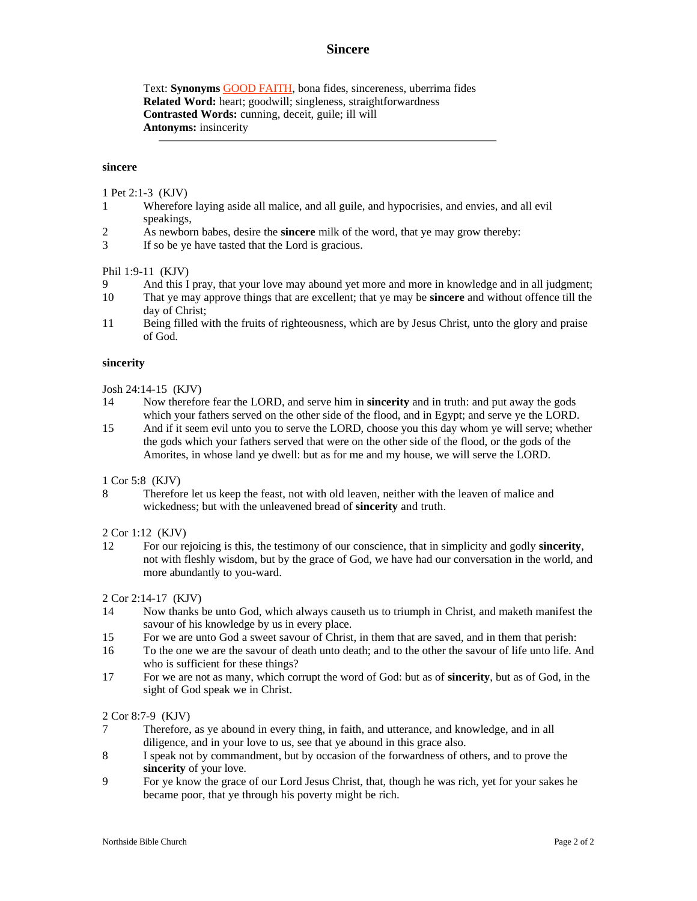# **Sincere**

Text: **Synonyms** GOOD FAITH, bona fides, sincereness, uberrima fides **Related Word:** heart; goodwill; singleness, straightforwardness **Contrasted Words:** cunning, deceit, guile; ill will **Antonyms:** insincerity

#### **sincere**

1 Pet 2:1-3 (KJV)

- 1 Wherefore laying aside all malice, and all guile, and hypocrisies, and envies, and all evil speakings,
- 2 As newborn babes, desire the **sincere** milk of the word, that ye may grow thereby:
- 3 If so be ye have tasted that the Lord is gracious.

### Phil 1:9-11 (KJV)

- 9 And this I pray, that your love may abound yet more and more in knowledge and in all judgment;
- 10 That ye may approve things that are excellent; that ye may be **sincere** and without offence till the day of Christ;
- 11 Being filled with the fruits of righteousness, which are by Jesus Christ, unto the glory and praise of God.

#### **sincerity**

## Josh 24:14-15 (KJV)

- 14 Now therefore fear the LORD, and serve him in **sincerity** and in truth: and put away the gods which your fathers served on the other side of the flood, and in Egypt; and serve ye the LORD.
- 15 And if it seem evil unto you to serve the LORD, choose you this day whom ye will serve; whether the gods which your fathers served that were on the other side of the flood, or the gods of the Amorites, in whose land ye dwell: but as for me and my house, we will serve the LORD.

1 Cor 5:8 (KJV)

8 Therefore let us keep the feast, not with old leaven, neither with the leaven of malice and wickedness; but with the unleavened bread of **sincerity** and truth.

## 2 Cor 1:12 (KJV)

12 For our rejoicing is this, the testimony of our conscience, that in simplicity and godly **sincerity**, not with fleshly wisdom, but by the grace of God, we have had our conversation in the world, and more abundantly to you-ward.

2 Cor 2:14-17 (KJV)

- 14 Now thanks be unto God, which always causeth us to triumph in Christ, and maketh manifest the savour of his knowledge by us in every place.
- 15 For we are unto God a sweet savour of Christ, in them that are saved, and in them that perish:
- 16 To the one we are the savour of death unto death; and to the other the savour of life unto life. And who is sufficient for these things?
- 17 For we are not as many, which corrupt the word of God: but as of **sincerity**, but as of God, in the sight of God speak we in Christ.

#### 2 Cor 8:7-9 (KJV)

- 7 Therefore, as ye abound in every thing, in faith, and utterance, and knowledge, and in all diligence, and in your love to us, see that ye abound in this grace also.
- 8 I speak not by commandment, but by occasion of the forwardness of others, and to prove the **sincerity** of your love.
- 9 For ye know the grace of our Lord Jesus Christ, that, though he was rich, yet for your sakes he became poor, that ye through his poverty might be rich.